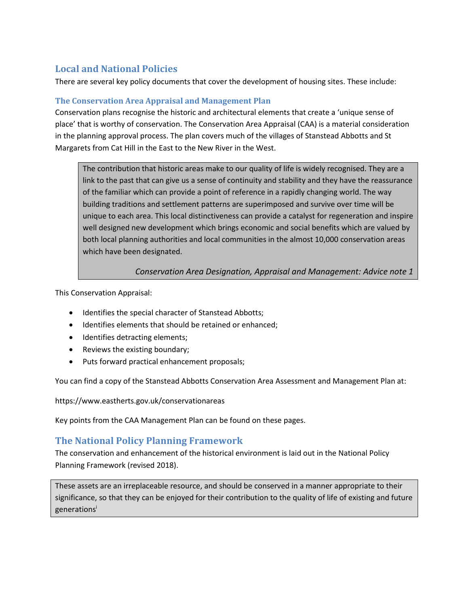## **Local and National Policies**

There are several key policy documents that cover the development of housing sites. These include:

## **The Conservation Area Appraisal and Management Plan**

Conservation plans recognise the historic and architectural elements that create a 'unique sense of place' that is worthy of conservation. The Conservation Area Appraisal (CAA) is a material consideration in the planning approval process. The plan covers much of the villages of Stanstead Abbotts and St Margarets from Cat Hill in the East to the New River in the West.

The contribution that historic areas make to our quality of life is widely recognised. They are a link to the past that can give us a sense of continuity and stability and they have the reassurance of the familiar which can provide a point of reference in a rapidly changing world. The way building traditions and settlement patterns are superimposed and survive over time will be unique to each area. This local distinctiveness can provide a catalyst for regeneration and inspire well designed new development which brings economic and social benefits which are valued by both local planning authorities and local communities in the almost 10,000 conservation areas which have been designated.

*Conservation Area Designation, Appraisal and Management: Advice note 1*

This Conservation Appraisal:

- Identifies the special character of Stanstead Abbotts;
- Identifies elements that should be retained or enhanced;
- Identifies detracting elements;
- Reviews the existing boundary;
- Puts forward practical enhancement proposals;

You can find a copy of the Stanstead Abbotts Conservation Area Assessment and Management Plan at:

https://www.eastherts.gov.uk/conservationareas

Key points from the CAA Management Plan can be found on these pages.

## **The National Policy Planning Framework**

The conservation and enhancement of the historical environment is laid out in the National Policy Planning Framework (revised 2018).

These assets are an irreplaceable resource, and should be conserved in a manner appropriate to their significance, so that they can be enjoyed for their contribution to the quality of life of existing and future generations<sup>i</sup>